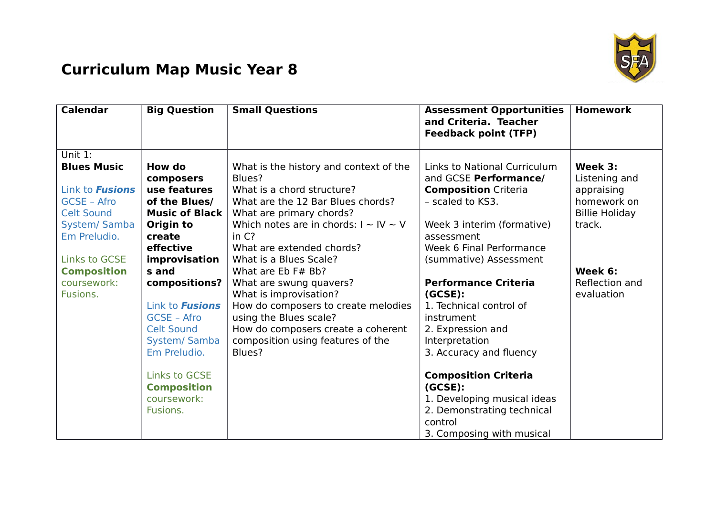

## **Curriculum Map Music Year 8**

| <b>Calendar</b>                      | <b>Big Question</b>    | <b>Small Questions</b>                                    | <b>Assessment Opportunities</b><br>and Criteria. Teacher<br><b>Feedback point (TFP)</b> | <b>Homework</b>       |
|--------------------------------------|------------------------|-----------------------------------------------------------|-----------------------------------------------------------------------------------------|-----------------------|
| Unit 1:                              |                        |                                                           |                                                                                         |                       |
| <b>Blues Music</b>                   | How do                 | What is the history and context of the                    | Links to National Curriculum                                                            | Week 3:               |
|                                      | composers              | Blues?                                                    | and GCSE Performance/                                                                   | Listening and         |
| Link to <b>Fusions</b>               | use features           | What is a chord structure?                                | <b>Composition Criteria</b>                                                             | appraising            |
| GCSE - Afro                          | of the Blues/          | What are the 12 Bar Blues chords?                         | - scaled to KS3.                                                                        | homework on           |
| <b>Celt Sound</b>                    | <b>Music of Black</b>  | What are primary chords?                                  |                                                                                         | <b>Billie Holiday</b> |
| <b>System/ Samba</b><br>Em Preludio. | Origin to<br>create    | Which notes are in chords: $I \sim IV \sim V$<br>in $C$ ? | Week 3 interim (formative)                                                              | track.                |
|                                      | effective              | What are extended chords?                                 | assessment<br>Week 6 Final Performance                                                  |                       |
| <b>Links to GCSE</b>                 | improvisation          | What is a Blues Scale?                                    | (summative) Assessment                                                                  |                       |
| <b>Composition</b>                   | s and                  | What are Eb F# Bb?                                        |                                                                                         | Week 6:               |
| coursework:                          | compositions?          | What are swung quavers?                                   | <b>Performance Criteria</b>                                                             | Reflection and        |
| Fusions.                             |                        | What is improvisation?                                    | (GCSE):                                                                                 | evaluation            |
|                                      | Link to <b>Fusions</b> | How do composers to create melodies                       | 1. Technical control of                                                                 |                       |
|                                      | GCSE - Afro            | using the Blues scale?                                    | instrument                                                                              |                       |
|                                      | <b>Celt Sound</b>      | How do composers create a coherent                        | 2. Expression and                                                                       |                       |
|                                      | System/Samba           | composition using features of the                         | Interpretation                                                                          |                       |
|                                      | Em Preludio.           | Blues?                                                    | 3. Accuracy and fluency                                                                 |                       |
|                                      | <b>Links to GCSE</b>   |                                                           | <b>Composition Criteria</b>                                                             |                       |
|                                      | <b>Composition</b>     |                                                           | (GCSE):                                                                                 |                       |
|                                      | coursework:            |                                                           | 1. Developing musical ideas                                                             |                       |
|                                      | Fusions.               |                                                           | 2. Demonstrating technical                                                              |                       |
|                                      |                        |                                                           | control                                                                                 |                       |
|                                      |                        |                                                           | 3. Composing with musical                                                               |                       |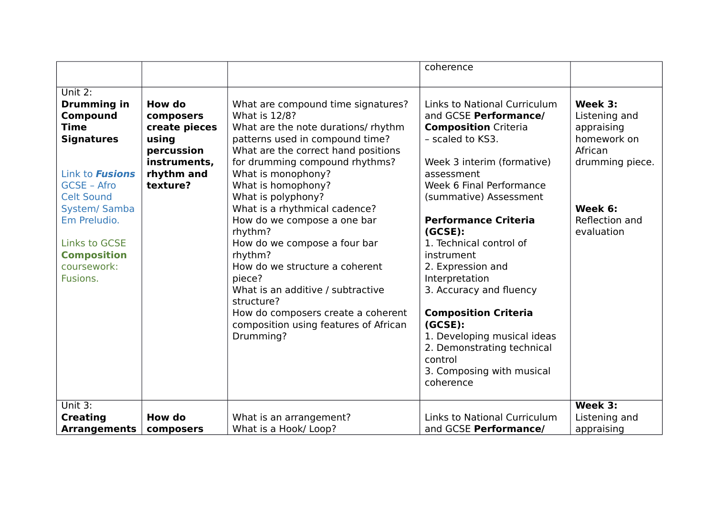|                                                                                                                                                                                                                                                                     |                                                                                                       |                                                                                                                                                                                                                                                                                                                                                                                                                                                                                                                                                                              | coherence                                                                                                                                                                                                                                                                                                                                                                                                 |                                                                                                                                |
|---------------------------------------------------------------------------------------------------------------------------------------------------------------------------------------------------------------------------------------------------------------------|-------------------------------------------------------------------------------------------------------|------------------------------------------------------------------------------------------------------------------------------------------------------------------------------------------------------------------------------------------------------------------------------------------------------------------------------------------------------------------------------------------------------------------------------------------------------------------------------------------------------------------------------------------------------------------------------|-----------------------------------------------------------------------------------------------------------------------------------------------------------------------------------------------------------------------------------------------------------------------------------------------------------------------------------------------------------------------------------------------------------|--------------------------------------------------------------------------------------------------------------------------------|
|                                                                                                                                                                                                                                                                     |                                                                                                       |                                                                                                                                                                                                                                                                                                                                                                                                                                                                                                                                                                              |                                                                                                                                                                                                                                                                                                                                                                                                           |                                                                                                                                |
| $\overline{Unit 2}$ :<br><b>Drumming in</b><br>Compound<br><b>Time</b><br><b>Signatures</b><br>Link to <b>Fusions</b><br>GCSE - Afro<br><b>Celt Sound</b><br>System/ Samba<br>Em Preludio.<br><b>Links to GCSE</b><br><b>Composition</b><br>coursework:<br>Fusions. | How do<br>composers<br>create pieces<br>using<br>percussion<br>instruments,<br>rhythm and<br>texture? | What are compound time signatures?<br>What is 12/8?<br>What are the note durations/ rhythm<br>patterns used in compound time?<br>What are the correct hand positions<br>for drumming compound rhythms?<br>What is monophony?<br>What is homophony?<br>What is polyphony?<br>What is a rhythmical cadence?<br>How do we compose a one bar<br>rhythm?<br>How do we compose a four bar<br>rhythm?<br>How do we structure a coherent<br>piece?<br>What is an additive / subtractive<br>structure?<br>How do composers create a coherent<br>composition using features of African | Links to National Curriculum<br>and GCSE Performance/<br><b>Composition Criteria</b><br>- scaled to KS3.<br>Week 3 interim (formative)<br>assessment<br>Week 6 Final Performance<br>(summative) Assessment<br><b>Performance Criteria</b><br>(GCSE):<br>1. Technical control of<br>instrument<br>2. Expression and<br>Interpretation<br>3. Accuracy and fluency<br><b>Composition Criteria</b><br>(GCSE): | Week 3:<br>Listening and<br>appraising<br>homework on<br>African<br>drumming piece.<br>Week 6:<br>Reflection and<br>evaluation |
|                                                                                                                                                                                                                                                                     |                                                                                                       | Drumming?                                                                                                                                                                                                                                                                                                                                                                                                                                                                                                                                                                    | 1. Developing musical ideas<br>2. Demonstrating technical<br>control                                                                                                                                                                                                                                                                                                                                      |                                                                                                                                |
|                                                                                                                                                                                                                                                                     |                                                                                                       |                                                                                                                                                                                                                                                                                                                                                                                                                                                                                                                                                                              | 3. Composing with musical<br>coherence                                                                                                                                                                                                                                                                                                                                                                    |                                                                                                                                |
| Unit $3:$                                                                                                                                                                                                                                                           |                                                                                                       |                                                                                                                                                                                                                                                                                                                                                                                                                                                                                                                                                                              |                                                                                                                                                                                                                                                                                                                                                                                                           | Week $3:$                                                                                                                      |
| <b>Creating</b>                                                                                                                                                                                                                                                     | How do                                                                                                | What is an arrangement?                                                                                                                                                                                                                                                                                                                                                                                                                                                                                                                                                      | <b>Links to National Curriculum</b>                                                                                                                                                                                                                                                                                                                                                                       | Listening and                                                                                                                  |
| <b>Arrangements</b>                                                                                                                                                                                                                                                 | composers                                                                                             | What is a Hook/Loop?                                                                                                                                                                                                                                                                                                                                                                                                                                                                                                                                                         | and GCSE Performance/                                                                                                                                                                                                                                                                                                                                                                                     | appraising                                                                                                                     |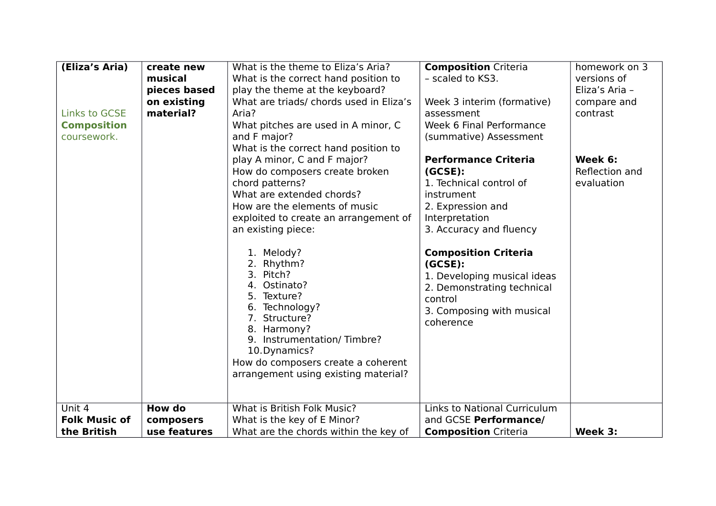| (Eliza's Aria)<br><b>Links to GCSE</b><br><b>Composition</b><br>coursework. | create new<br>musical<br>pieces based<br>on existing<br>material? | What is the theme to Eliza's Aria?<br>What is the correct hand position to<br>play the theme at the keyboard?<br>What are triads/ chords used in Eliza's<br>Aria?<br>What pitches are used in A minor, C<br>and F major?<br>What is the correct hand position to                                                                                                                                                                                                     | <b>Composition Criteria</b><br>- scaled to KS3.<br>Week 3 interim (formative)<br>assessment<br>Week 6 Final Performance<br>(summative) Assessment                                                                                                                                                             | homework on 3<br>versions of<br>Eliza's Aria -<br>compare and<br>contrast |
|-----------------------------------------------------------------------------|-------------------------------------------------------------------|----------------------------------------------------------------------------------------------------------------------------------------------------------------------------------------------------------------------------------------------------------------------------------------------------------------------------------------------------------------------------------------------------------------------------------------------------------------------|---------------------------------------------------------------------------------------------------------------------------------------------------------------------------------------------------------------------------------------------------------------------------------------------------------------|---------------------------------------------------------------------------|
|                                                                             |                                                                   | play A minor, C and F major?<br>How do composers create broken<br>chord patterns?<br>What are extended chords?<br>How are the elements of music<br>exploited to create an arrangement of<br>an existing piece:<br>1. Melody?<br>2. Rhythm?<br>3. Pitch?<br>4. Ostinato?<br>5. Texture?<br>6. Technology?<br>7. Structure?<br>8. Harmony?<br>9. Instrumentation/Timbre?<br>10.Dynamics?<br>How do composers create a coherent<br>arrangement using existing material? | <b>Performance Criteria</b><br>(GCSE):<br>1. Technical control of<br>instrument<br>2. Expression and<br>Interpretation<br>3. Accuracy and fluency<br><b>Composition Criteria</b><br>(GCSE):<br>1. Developing musical ideas<br>2. Demonstrating technical<br>control<br>3. Composing with musical<br>coherence | Week 6:<br>Reflection and<br>evaluation                                   |
| Unit 4                                                                      | <b>How do</b>                                                     | What is British Folk Music?                                                                                                                                                                                                                                                                                                                                                                                                                                          | <b>Links to National Curriculum</b>                                                                                                                                                                                                                                                                           |                                                                           |
| <b>Folk Music of</b>                                                        | composers                                                         | What is the key of E Minor?                                                                                                                                                                                                                                                                                                                                                                                                                                          | and GCSE Performance/                                                                                                                                                                                                                                                                                         |                                                                           |
| the British                                                                 | use features                                                      | What are the chords within the key of                                                                                                                                                                                                                                                                                                                                                                                                                                | <b>Composition Criteria</b>                                                                                                                                                                                                                                                                                   | Week 3:                                                                   |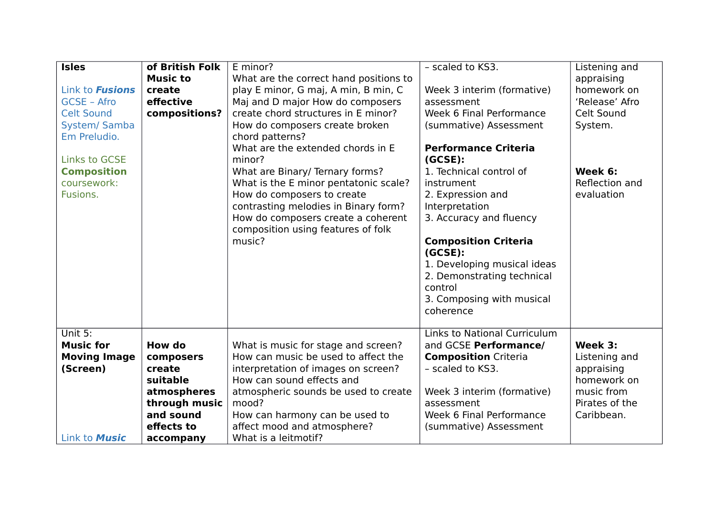| <b>Isles</b>           | of British Folk | E minor?                               | - scaled to KS3.                       | Listening and  |
|------------------------|-----------------|----------------------------------------|----------------------------------------|----------------|
|                        | <b>Music to</b> | What are the correct hand positions to |                                        | appraising     |
| Link to <b>Fusions</b> | create          | play E minor, G maj, A min, B min, C   | Week 3 interim (formative)             | homework on    |
| <b>GCSE - Afro</b>     | effective       | Maj and D major How do composers       | assessment                             | 'Release' Afro |
| <b>Celt Sound</b>      | compositions?   | create chord structures in E minor?    | Week 6 Final Performance               | Celt Sound     |
| <b>System/ Samba</b>   |                 | How do composers create broken         | (summative) Assessment                 | System.        |
| Em Preludio.           |                 | chord patterns?                        |                                        |                |
|                        |                 | What are the extended chords in E      | <b>Performance Criteria</b>            |                |
| <b>Links to GCSE</b>   |                 | minor?                                 | (GCSE):                                |                |
| <b>Composition</b>     |                 | What are Binary/ Ternary forms?        | 1. Technical control of                | Week 6:        |
| coursework:            |                 | What is the E minor pentatonic scale?  | instrument                             | Reflection and |
| Fusions.               |                 | How do composers to create             | 2. Expression and                      | evaluation     |
|                        |                 | contrasting melodies in Binary form?   | Interpretation                         |                |
|                        |                 | How do composers create a coherent     | 3. Accuracy and fluency                |                |
|                        |                 | composition using features of folk     |                                        |                |
|                        |                 | music?                                 | <b>Composition Criteria</b><br>(GCSE): |                |
|                        |                 |                                        | 1. Developing musical ideas            |                |
|                        |                 |                                        | 2. Demonstrating technical             |                |
|                        |                 |                                        | control                                |                |
|                        |                 |                                        | 3. Composing with musical              |                |
|                        |                 |                                        | coherence                              |                |
|                        |                 |                                        |                                        |                |
| Unit 5:                |                 |                                        | <b>Links to National Curriculum</b>    |                |
| <b>Music for</b>       | How do          | What is music for stage and screen?    | and GCSE Performance/                  | Week 3:        |
| <b>Moving Image</b>    | composers       | How can music be used to affect the    | <b>Composition Criteria</b>            | Listening and  |
| (Screen)               | create          | interpretation of images on screen?    | - scaled to KS3.                       | appraising     |
|                        | suitable        | How can sound effects and              |                                        | homework on    |
|                        | atmospheres     | atmospheric sounds be used to create   | Week 3 interim (formative)             | music from     |
|                        | through music   | mood?                                  | assessment                             | Pirates of the |
|                        | and sound       | How can harmony can be used to         | Week 6 Final Performance               | Caribbean.     |
|                        | effects to      | affect mood and atmosphere?            | (summative) Assessment                 |                |
| Link to <b>Music</b>   | accompany       | What is a leitmotif?                   |                                        |                |